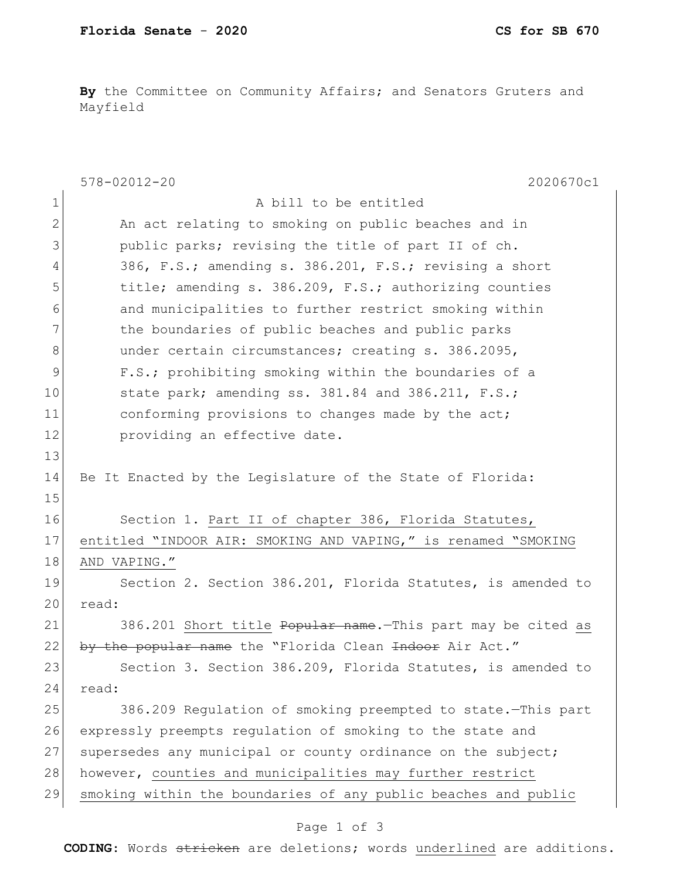By the Committee on Community Affairs; and Senators Gruters and Mayfield

|               | $578 - 02012 - 20$<br>2020670c1                                |
|---------------|----------------------------------------------------------------|
| $\mathbf 1$   | A bill to be entitled                                          |
| $\mathbf{2}$  | An act relating to smoking on public beaches and in            |
| 3             | public parks; revising the title of part II of ch.             |
| 4             | 386, F.S.; amending s. 386.201, F.S.; revising a short         |
| 5             | title; amending s. 386.209, F.S.; authorizing counties         |
| 6             | and municipalities to further restrict smoking within          |
| 7             | the boundaries of public beaches and public parks              |
| 8             | under certain circumstances; creating s. 386.2095,             |
| $\mathcal{G}$ | F.S.; prohibiting smoking within the boundaries of a           |
| 10            | state park; amending ss. 381.84 and 386.211, F.S.;             |
| 11            | conforming provisions to changes made by the act;              |
| 12            | providing an effective date.                                   |
| 13            |                                                                |
| 14            | Be It Enacted by the Legislature of the State of Florida:      |
| 15            |                                                                |
| 16            | Section 1. Part II of chapter 386, Florida Statutes,           |
| 17            | entitled "INDOOR AIR: SMOKING AND VAPING," is renamed "SMOKING |
| 18            | AND VAPING."                                                   |
| 19            | Section 2. Section 386.201, Florida Statutes, is amended to    |
| 20            | read:                                                          |
| 21            | 386.201 Short title Popular name. This part may be cited as    |
| 22            | by the popular name the "Florida Clean Indoor Air Act."        |
| 23            | Section 3. Section 386.209, Florida Statutes, is amended to    |
| 24            | read:                                                          |
| 25            | 386.209 Regulation of smoking preempted to state.-This part    |
| 26            | expressly preempts regulation of smoking to the state and      |
| 27            | supersedes any municipal or county ordinance on the subject;   |
| 28            | however, counties and municipalities may further restrict      |
| 29            | smoking within the boundaries of any public beaches and public |

## Page 1 of 3

**CODING**: Words stricken are deletions; words underlined are additions.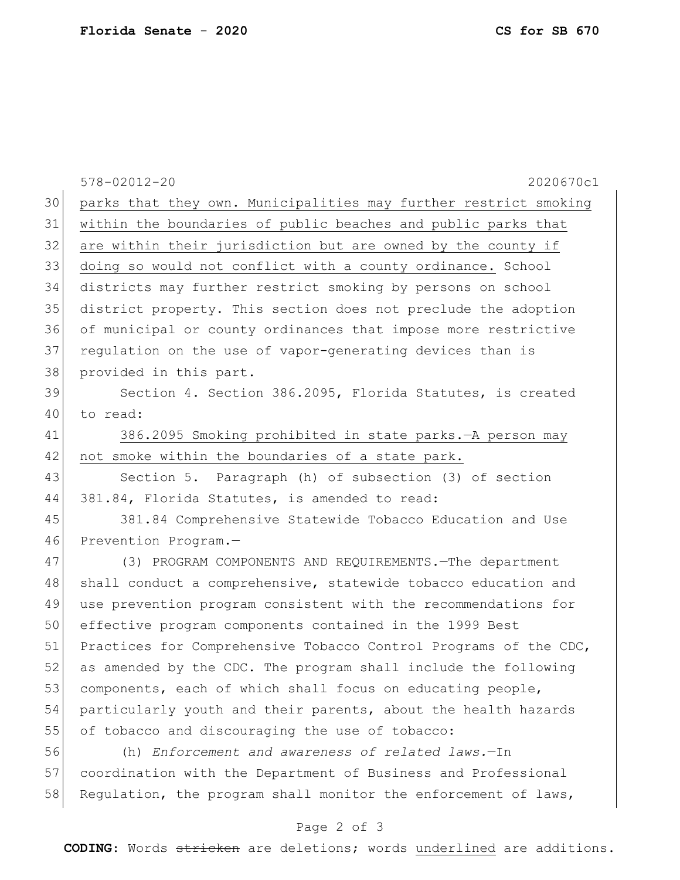|    | $578 - 02012 - 20$<br>2020670c1                                  |
|----|------------------------------------------------------------------|
| 30 | parks that they own. Municipalities may further restrict smoking |
| 31 | within the boundaries of public beaches and public parks that    |
| 32 | are within their jurisdiction but are owned by the county if     |
| 33 | doing so would not conflict with a county ordinance. School      |
| 34 | districts may further restrict smoking by persons on school      |
| 35 | district property. This section does not preclude the adoption   |
| 36 | of municipal or county ordinances that impose more restrictive   |
| 37 | regulation on the use of vapor-generating devices than is        |
| 38 | provided in this part.                                           |
| 39 | Section 4. Section 386.2095, Florida Statutes, is created        |
| 40 | to read:                                                         |
| 41 | 386.2095 Smoking prohibited in state parks. - A person may       |
| 42 | not smoke within the boundaries of a state park.                 |
| 43 | Section 5. Paragraph (h) of subsection (3) of section            |
| 44 | 381.84, Florida Statutes, is amended to read:                    |
| 45 | 381.84 Comprehensive Statewide Tobacco Education and Use         |
| 46 | Prevention Program.-                                             |
| 47 | (3) PROGRAM COMPONENTS AND REQUIREMENTS. - The department        |
| 48 | shall conduct a comprehensive, statewide tobacco education and   |
| 49 | use prevention program consistent with the recommendations for   |
| 50 | effective program components contained in the 1999 Best          |
| 51 | Practices for Comprehensive Tobacco Control Programs of the CDC, |
| 52 | as amended by the CDC. The program shall include the following   |
| 53 | components, each of which shall focus on educating people,       |
| 54 | particularly youth and their parents, about the health hazards   |
| 55 | of tobacco and discouraging the use of tobacco:                  |
| 56 | (h) Enforcement and awareness of related laws.-In                |
| 57 | coordination with the Department of Business and Professional    |
| 58 | Regulation, the program shall monitor the enforcement of laws,   |

## Page 2 of 3

**CODING**: Words stricken are deletions; words underlined are additions.